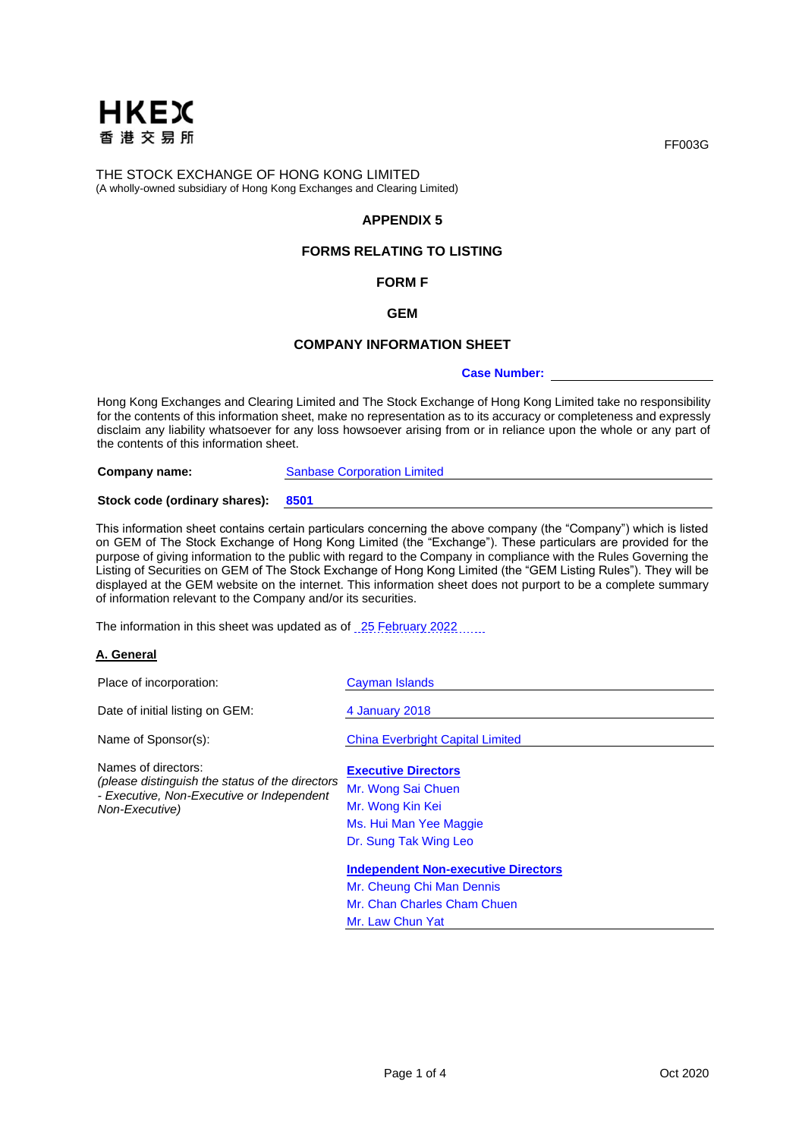

# **APPENDIX 5**

# **FORMS RELATING TO LISTING**

# **FORM F**

### **GEM**

#### **COMPANY INFORMATION SHEET**

#### **Case Number:**

Hong Kong Exchanges and Clearing Limited and The Stock Exchange of Hong Kong Limited take no responsibility for the contents of this information sheet, make no representation as to its accuracy or completeness and expressly disclaim any liability whatsoever for any loss howsoever arising from or in reliance upon the whole or any part of the contents of this information sheet.

**Company name:** Sanbase Corporation Limited **Stock code (ordinary shares): 8501**

This information sheet contains certain particulars concerning the above company (the "Company") which is listed on GEM of The Stock Exchange of Hong Kong Limited (the "Exchange"). These particulars are provided for the purpose of giving information to the public with regard to the Company in compliance with the Rules Governing the Listing of Securities on GEM of The Stock Exchange of Hong Kong Limited (the "GEM Listing Rules"). They will be displayed at the GEM website on the internet. This information sheet does not purport to be a complete summary of information relevant to the Company and/or its securities.

The information in this sheet was updated as of 25 February 2022

## **A. General**

| Place of incorporation:                                                                                                               | <b>Cayman Islands</b>                                                |
|---------------------------------------------------------------------------------------------------------------------------------------|----------------------------------------------------------------------|
| Date of initial listing on GEM:                                                                                                       | 4 January 2018                                                       |
| Name of Sponsor(s):                                                                                                                   | <b>China Everbright Capital Limited</b>                              |
| Names of directors:<br>(please distinguish the status of the directors<br>- Executive, Non-Executive or Independent<br>Non-Executive) | <b>Executive Directors</b><br>Mr. Wong Sai Chuen<br>Mr. Wong Kin Kei |
|                                                                                                                                       | Ms. Hui Man Yee Maggie<br>Dr. Sung Tak Wing Leo                      |
|                                                                                                                                       | <b>Independent Non-executive Directors</b>                           |
|                                                                                                                                       | Mr. Cheung Chi Man Dennis                                            |
|                                                                                                                                       | Mr. Chan Charles Cham Chuen                                          |
|                                                                                                                                       | Mr. Law Chun Yat                                                     |

FF003G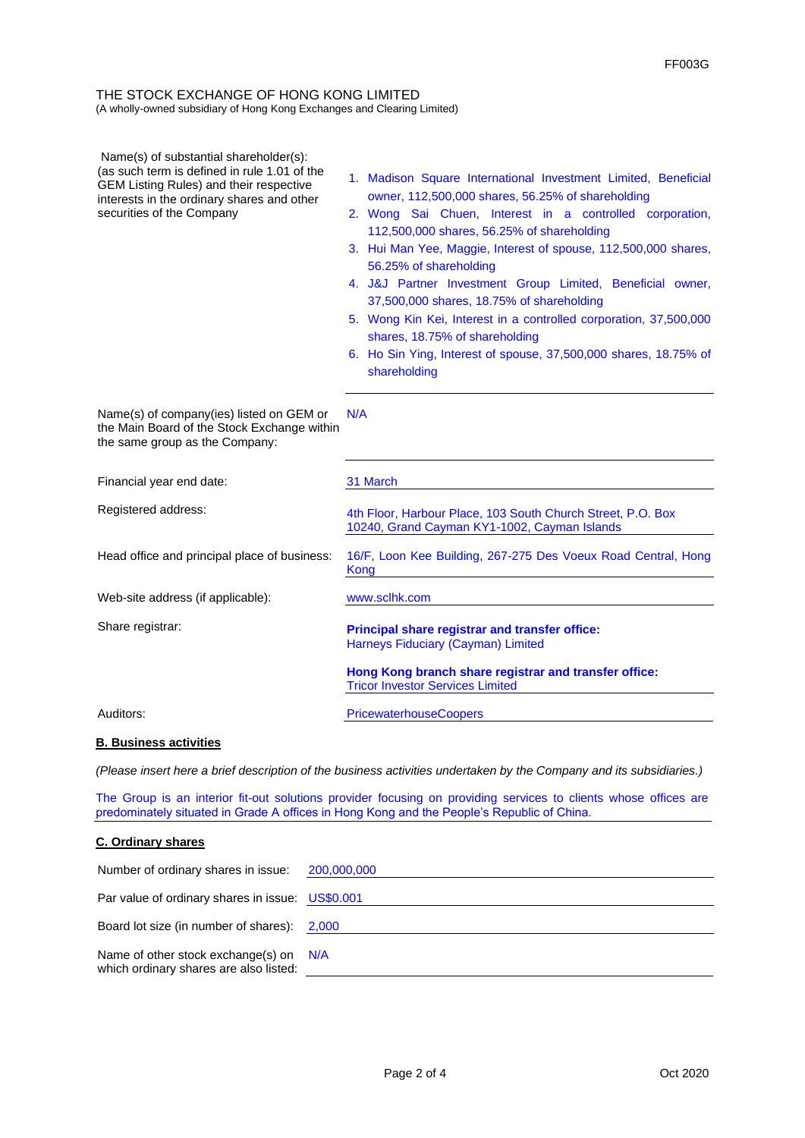| Name(s) of substantial shareholder(s):<br>(as such term is defined in rule 1.01 of the<br>GEM Listing Rules) and their respective<br>interests in the ordinary shares and other<br>securities of the Company | 1. Madison Square International Investment Limited, Beneficial<br>owner, 112,500,000 shares, 56.25% of shareholding<br>2. Wong Sai Chuen, Interest in a controlled corporation,<br>112,500,000 shares, 56.25% of shareholding<br>3. Hui Man Yee, Maggie, Interest of spouse, 112,500,000 shares,<br>56.25% of shareholding<br>4. J&J Partner Investment Group Limited, Beneficial owner,<br>37,500,000 shares, 18.75% of shareholding<br>5. Wong Kin Kei, Interest in a controlled corporation, 37,500,000<br>shares, 18.75% of shareholding<br>6. Ho Sin Ying, Interest of spouse, 37,500,000 shares, 18.75% of<br>shareholding |
|--------------------------------------------------------------------------------------------------------------------------------------------------------------------------------------------------------------|----------------------------------------------------------------------------------------------------------------------------------------------------------------------------------------------------------------------------------------------------------------------------------------------------------------------------------------------------------------------------------------------------------------------------------------------------------------------------------------------------------------------------------------------------------------------------------------------------------------------------------|
| Name(s) of company(ies) listed on GEM or<br>the Main Board of the Stock Exchange within<br>the same group as the Company:                                                                                    | N/A                                                                                                                                                                                                                                                                                                                                                                                                                                                                                                                                                                                                                              |
| Financial year end date:                                                                                                                                                                                     | 31 March                                                                                                                                                                                                                                                                                                                                                                                                                                                                                                                                                                                                                         |
| Registered address:                                                                                                                                                                                          | 4th Floor, Harbour Place, 103 South Church Street, P.O. Box<br>10240, Grand Cayman KY1-1002, Cayman Islands                                                                                                                                                                                                                                                                                                                                                                                                                                                                                                                      |
| Head office and principal place of business:                                                                                                                                                                 | 16/F, Loon Kee Building, 267-275 Des Voeux Road Central, Hong<br>Kong                                                                                                                                                                                                                                                                                                                                                                                                                                                                                                                                                            |
| Web-site address (if applicable):                                                                                                                                                                            | www.sclhk.com                                                                                                                                                                                                                                                                                                                                                                                                                                                                                                                                                                                                                    |
| Share registrar:                                                                                                                                                                                             | Principal share registrar and transfer office:<br>Harneys Fiduciary (Cayman) Limited                                                                                                                                                                                                                                                                                                                                                                                                                                                                                                                                             |
|                                                                                                                                                                                                              | Hong Kong branch share registrar and transfer office:<br><b>Tricor Investor Services Limited</b>                                                                                                                                                                                                                                                                                                                                                                                                                                                                                                                                 |
| Auditors:                                                                                                                                                                                                    | <b>PricewaterhouseCoopers</b>                                                                                                                                                                                                                                                                                                                                                                                                                                                                                                                                                                                                    |
| <b>B. Business activities</b>                                                                                                                                                                                |                                                                                                                                                                                                                                                                                                                                                                                                                                                                                                                                                                                                                                  |

*(Please insert here a brief description of the business activities undertaken by the Company and its subsidiaries.)*

The Group is an interior fit-out solutions provider focusing on providing services to clients whose offices are predominately situated in Grade A offices in Hong Kong and the People's Republic of China.

### **C. Ordinary shares**

| Number of ordinary shares in issue: 200,000,000                                  |  |
|----------------------------------------------------------------------------------|--|
| Par value of ordinary shares in issue: US\$0.001                                 |  |
| Board lot size (in number of shares): 2,000                                      |  |
| Name of other stock exchange(s) on N/A<br>which ordinary shares are also listed: |  |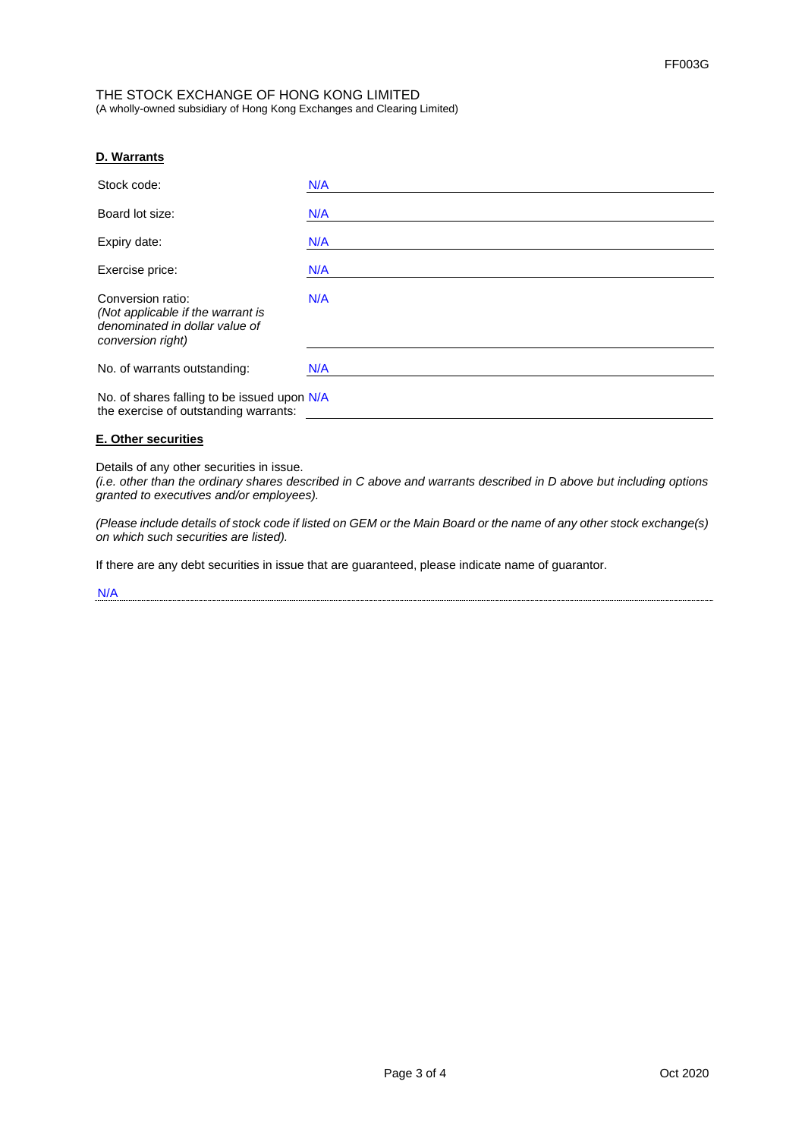# **D. Warrants**

| Stock code:                                                                                                   | N/A |
|---------------------------------------------------------------------------------------------------------------|-----|
| Board lot size:                                                                                               | N/A |
| Expiry date:                                                                                                  | N/A |
| Exercise price:                                                                                               | N/A |
| Conversion ratio:<br>(Not applicable if the warrant is<br>denominated in dollar value of<br>conversion right) | N/A |
| No. of warrants outstanding:                                                                                  | N/A |
| No. of shares falling to be issued upon N/A<br>the exercise of outstanding warrants:                          |     |

### **E. Other securities**

Details of any other securities in issue.

*(i.e. other than the ordinary shares described in C above and warrants described in D above but including options granted to executives and/or employees).*

*(Please include details of stock code if listed on GEM or the Main Board or the name of any other stock exchange(s) on which such securities are listed).*

If there are any debt securities in issue that are guaranteed, please indicate name of guarantor.

N/A